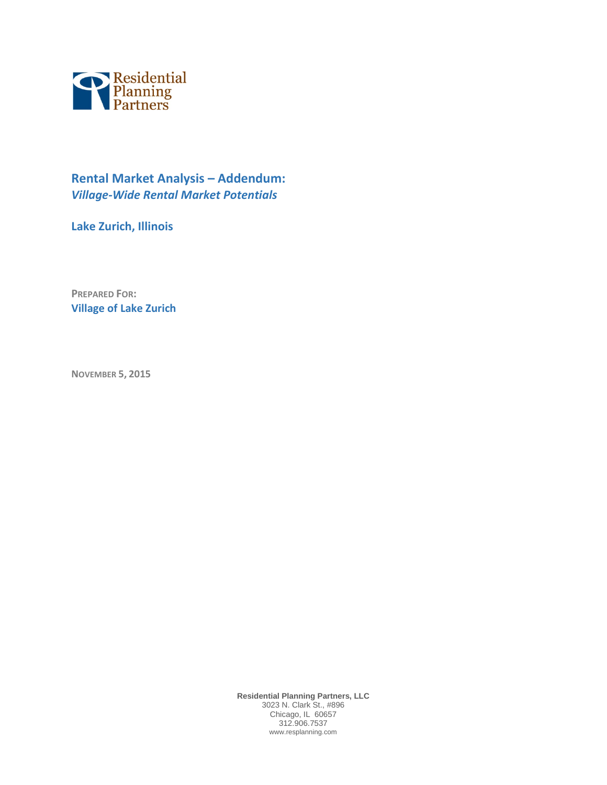

# **Rental Market Analysis – Addendum:** *Village-Wide Rental Market Potentials*

**Lake Zurich, Illinois**

**PREPARED FOR: Village of Lake Zurich**

**NOVEMBER 5, 2015**

**Residential Planning Partners, LLC** 3023 N. Clark St., #896 Chicago, IL 60657 312.906.7537 www.resplanning.com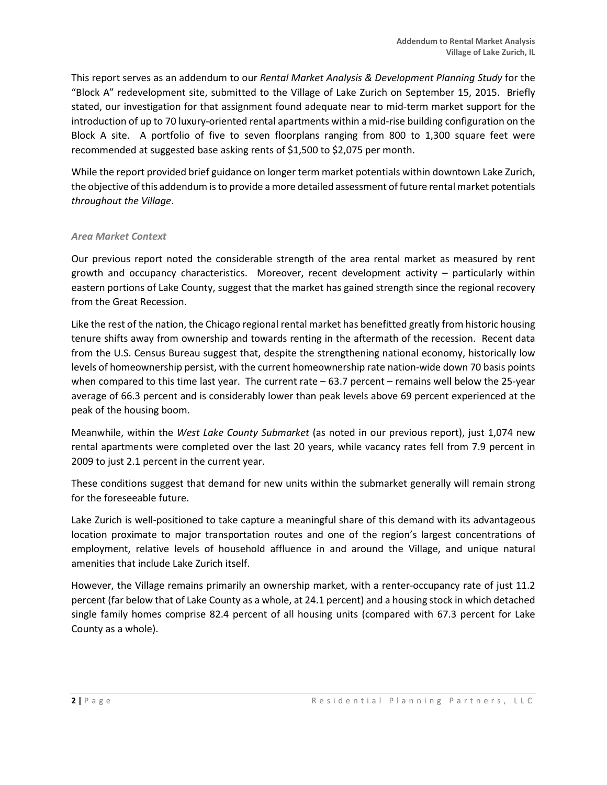This report serves as an addendum to our *Rental Market Analysis & Development Planning Study* for the "Block A" redevelopment site, submitted to the Village of Lake Zurich on September 15, 2015. Briefly stated, our investigation for that assignment found adequate near to mid-term market support for the introduction of up to 70 luxury-oriented rental apartments within a mid-rise building configuration on the Block A site. A portfolio of five to seven floorplans ranging from 800 to 1,300 square feet were recommended at suggested base asking rents of \$1,500 to \$2,075 per month.

While the report provided brief guidance on longer term market potentials within downtown Lake Zurich, the objective of this addendum is to provide a more detailed assessment of future rental market potentials *throughout the Village*.

#### *Area Market Context*

Our previous report noted the considerable strength of the area rental market as measured by rent growth and occupancy characteristics. Moreover, recent development activity – particularly within eastern portions of Lake County, suggest that the market has gained strength since the regional recovery from the Great Recession.

Like the rest of the nation, the Chicago regional rental market has benefitted greatly from historic housing tenure shifts away from ownership and towards renting in the aftermath of the recession. Recent data from the U.S. Census Bureau suggest that, despite the strengthening national economy, historically low levels of homeownership persist, with the current homeownership rate nation-wide down 70 basis points when compared to this time last year. The current rate – 63.7 percent – remains well below the 25-year average of 66.3 percent and is considerably lower than peak levels above 69 percent experienced at the peak of the housing boom.

Meanwhile, within the *West Lake County Submarket* (as noted in our previous report), just 1,074 new rental apartments were completed over the last 20 years, while vacancy rates fell from 7.9 percent in 2009 to just 2.1 percent in the current year.

These conditions suggest that demand for new units within the submarket generally will remain strong for the foreseeable future.

Lake Zurich is well-positioned to take capture a meaningful share of this demand with its advantageous location proximate to major transportation routes and one of the region's largest concentrations of employment, relative levels of household affluence in and around the Village, and unique natural amenities that include Lake Zurich itself.

However, the Village remains primarily an ownership market, with a renter-occupancy rate of just 11.2 percent (far below that of Lake County as a whole, at 24.1 percent) and a housing stock in which detached single family homes comprise 82.4 percent of all housing units (compared with 67.3 percent for Lake County as a whole).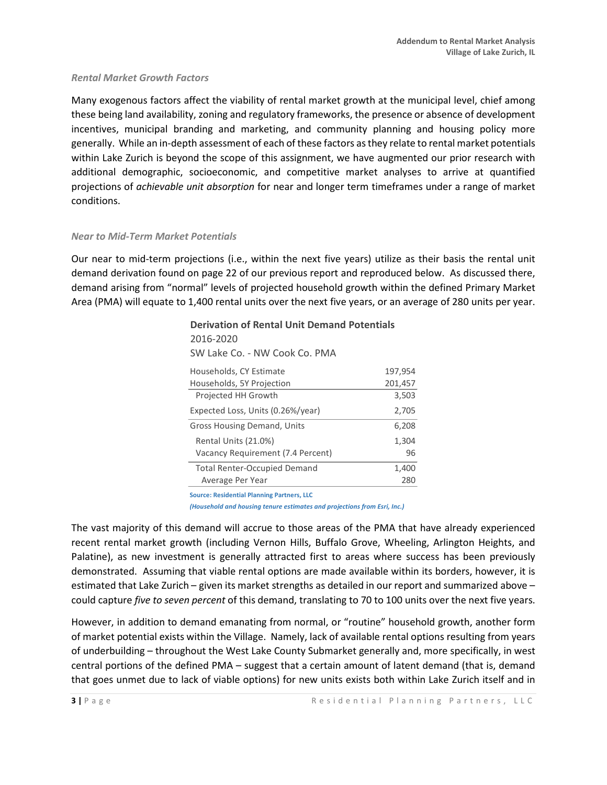#### *Rental Market Growth Factors*

Many exogenous factors affect the viability of rental market growth at the municipal level, chief among these being land availability, zoning and regulatory frameworks, the presence or absence of development incentives, municipal branding and marketing, and community planning and housing policy more generally. While an in-depth assessment of each of these factors as they relate to rental market potentials within Lake Zurich is beyond the scope of this assignment, we have augmented our prior research with additional demographic, socioeconomic, and competitive market analyses to arrive at quantified projections of *achievable unit absorption* for near and longer term timeframes under a range of market conditions.

#### *Near to Mid-Term Market Potentials*

Our near to mid-term projections (i.e., within the next five years) utilize as their basis the rental unit demand derivation found on page 22 of our previous report and reproduced below. As discussed there, demand arising from "normal" levels of projected household growth within the defined Primary Market Area (PMA) will equate to 1,400 rental units over the next five years, or an average of 280 units per year.

| 2016-2020<br>SW Lake Co. - NW Cook Co. PMA<br>Households, CY Estimate<br>Households, 5Y Projection<br>Projected HH Growth<br>Expected Loss, Units (0.26%/year)<br>Gross Housing Demand, Units<br>Rental Units (21.0%)<br>Vacancy Requirement (7.4 Percent)<br><b>Total Renter-Occupied Demand</b> | <b>Derivation of Rental Unit Demand Potentials</b> |         |  |  |  |
|---------------------------------------------------------------------------------------------------------------------------------------------------------------------------------------------------------------------------------------------------------------------------------------------------|----------------------------------------------------|---------|--|--|--|
|                                                                                                                                                                                                                                                                                                   |                                                    |         |  |  |  |
|                                                                                                                                                                                                                                                                                                   |                                                    |         |  |  |  |
|                                                                                                                                                                                                                                                                                                   |                                                    | 197,954 |  |  |  |
|                                                                                                                                                                                                                                                                                                   |                                                    | 201,457 |  |  |  |
|                                                                                                                                                                                                                                                                                                   |                                                    | 3.503   |  |  |  |
|                                                                                                                                                                                                                                                                                                   |                                                    | 2,705   |  |  |  |
|                                                                                                                                                                                                                                                                                                   |                                                    | 6.208   |  |  |  |
|                                                                                                                                                                                                                                                                                                   |                                                    | 1,304   |  |  |  |
|                                                                                                                                                                                                                                                                                                   |                                                    | 96      |  |  |  |
|                                                                                                                                                                                                                                                                                                   |                                                    | 1.400   |  |  |  |
|                                                                                                                                                                                                                                                                                                   | Average Per Year                                   | 280     |  |  |  |

**Source: Residential Planning Partners, LLC**

*(Household and housing tenure estimates and projections from Esri, Inc.)*

The vast majority of this demand will accrue to those areas of the PMA that have already experienced recent rental market growth (including Vernon Hills, Buffalo Grove, Wheeling, Arlington Heights, and Palatine), as new investment is generally attracted first to areas where success has been previously demonstrated. Assuming that viable rental options are made available within its borders, however, it is estimated that Lake Zurich – given its market strengths as detailed in our report and summarized above – could capture *five to seven percent* of this demand, translating to 70 to 100 units over the next five years.

However, in addition to demand emanating from normal, or "routine" household growth, another form of market potential exists within the Village. Namely, lack of available rental options resulting from years of underbuilding – throughout the West Lake County Submarket generally and, more specifically, in west central portions of the defined PMA – suggest that a certain amount of latent demand (that is, demand that goes unmet due to lack of viable options) for new units exists both within Lake Zurich itself and in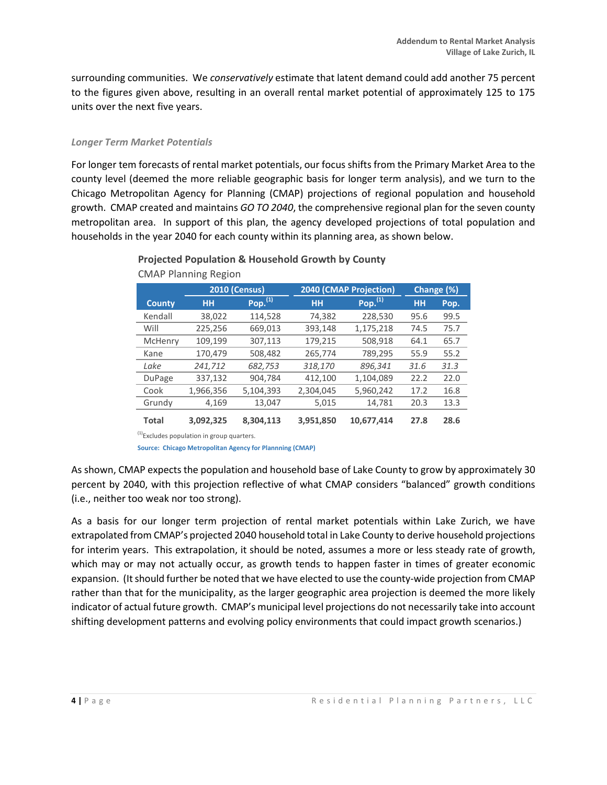surrounding communities. We *conservatively* estimate that latent demand could add another 75 percent to the figures given above, resulting in an overall rental market potential of approximately 125 to 175 units over the next five years.

#### *Longer Term Market Potentials*

For longer tem forecasts of rental market potentials, our focus shifts from the Primary Market Area to the county level (deemed the more reliable geographic basis for longer term analysis), and we turn to the Chicago Metropolitan Agency for Planning (CMAP) projections of regional population and household growth. CMAP created and maintains *GO TO 2040*, the comprehensive regional plan for the seven county metropolitan area. In support of this plan, the agency developed projections of total population and households in the year 2040 for each county within its planning area, as shown below.

|               | <b>2040 (CMAP Projection)</b><br><b>2010 (Census)</b> |            |           | Change (%)    |           |      |
|---------------|-------------------------------------------------------|------------|-----------|---------------|-----------|------|
| <b>County</b> | HН                                                    | Pop. $(1)$ | <b>HH</b> | Pop. $^{(1)}$ | <b>HH</b> | Pop. |
| Kendall       | 38,022                                                | 114,528    | 74,382    | 228,530       | 95.6      | 99.5 |
| Will          | 225,256                                               | 669,013    | 393,148   | 1,175,218     | 74.5      | 75.7 |
| McHenry       | 109,199                                               | 307,113    | 179,215   | 508,918       | 64.1      | 65.7 |
| Kane          | 170,479                                               | 508,482    | 265,774   | 789,295       | 55.9      | 55.2 |
| Lake          | 241,712                                               | 682,753    | 318,170   | 896,341       | 31.6      | 31.3 |
| DuPage        | 337,132                                               | 904,784    | 412,100   | 1,104,089     | 22.2      | 22.0 |
| Cook          | 1,966,356                                             | 5,104,393  | 2,304,045 | 5,960,242     | 17.2      | 16.8 |
| Grundy        | 4,169                                                 | 13,047     | 5,015     | 14,781        | 20.3      | 13.3 |
| Total         | 3,092,325                                             | 8.304.113  | 3,951,850 | 10.677.414    | 27.8      | 28.6 |

### **Projected Population & Household Growth by County** CMAP Planning Region

<sup>(1)</sup>Excludes population in group quarters.

**Source: Chicago Metropolitan Agency for Plannning (CMAP)**

As shown, CMAP expects the population and household base of Lake County to grow by approximately 30 percent by 2040, with this projection reflective of what CMAP considers "balanced" growth conditions (i.e., neither too weak nor too strong).

As a basis for our longer term projection of rental market potentials within Lake Zurich, we have extrapolated from CMAP's projected 2040 household total in Lake County to derive household projections for interim years. This extrapolation, it should be noted, assumes a more or less steady rate of growth, which may or may not actually occur, as growth tends to happen faster in times of greater economic expansion. (It should further be noted that we have elected to use the county-wide projection from CMAP rather than that for the municipality, as the larger geographic area projection is deemed the more likely indicator of actual future growth. CMAP's municipal level projections do not necessarily take into account shifting development patterns and evolving policy environments that could impact growth scenarios.)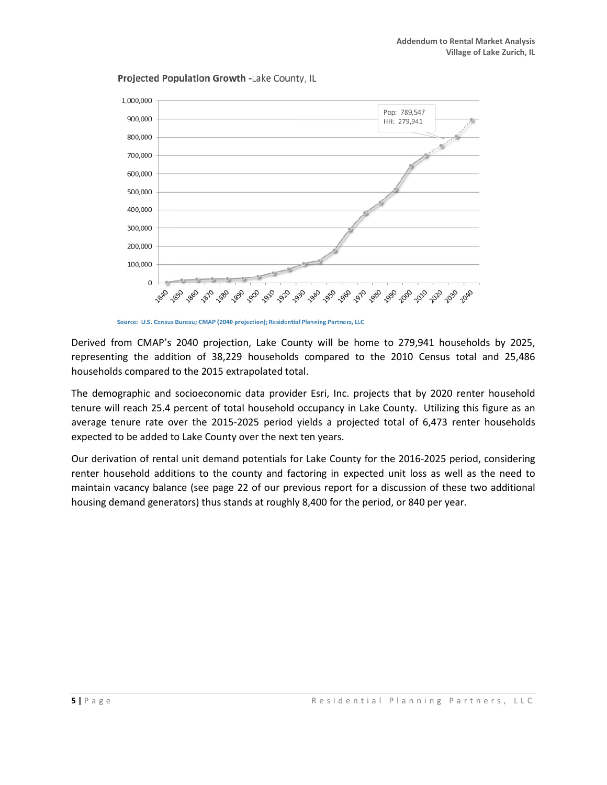Projected Population Growth -Lake County, IL



Source: U.S. Census Bureau; CMAP (2040 projection); Residential Planning Partners, LLC

Derived from CMAP's 2040 projection, Lake County will be home to 279,941 households by 2025, representing the addition of 38,229 households compared to the 2010 Census total and 25,486 households compared to the 2015 extrapolated total.

The demographic and socioeconomic data provider Esri, Inc. projects that by 2020 renter household tenure will reach 25.4 percent of total household occupancy in Lake County. Utilizing this figure as an average tenure rate over the 2015-2025 period yields a projected total of 6,473 renter households expected to be added to Lake County over the next ten years.

Our derivation of rental unit demand potentials for Lake County for the 2016-2025 period, considering renter household additions to the county and factoring in expected unit loss as well as the need to maintain vacancy balance (see page 22 of our previous report for a discussion of these two additional housing demand generators) thus stands at roughly 8,400 for the period, or 840 per year.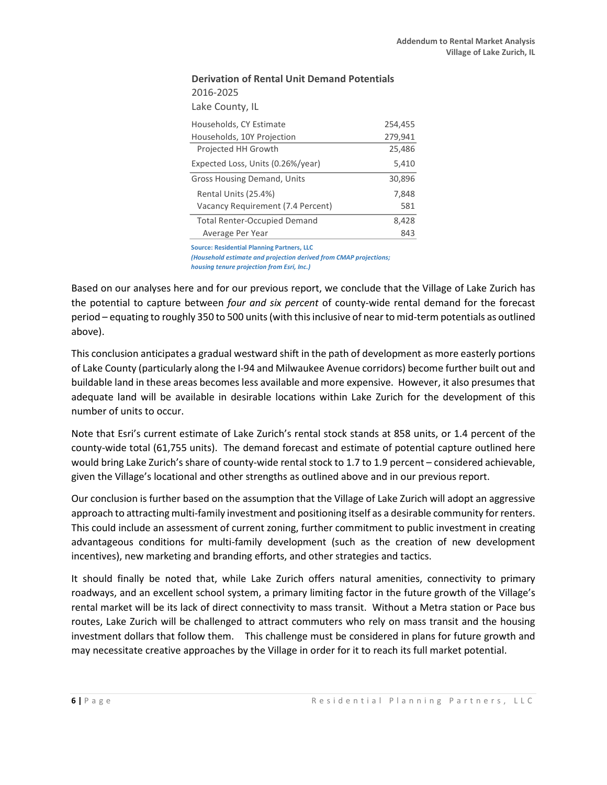| PENIXANDII OLI RENTAL ONIIT PENIANG POTENTIAIS |                                     |         |  |
|------------------------------------------------|-------------------------------------|---------|--|
|                                                | 2016-2025                           |         |  |
|                                                | Lake County, IL                     |         |  |
|                                                | Households, CY Estimate             | 254,455 |  |
|                                                | Households, 10Y Projection          | 279,941 |  |
|                                                | Projected HH Growth                 | 25,486  |  |
|                                                | Expected Loss, Units (0.26%/year)   | 5,410   |  |
|                                                | <b>Gross Housing Demand, Units</b>  | 30,896  |  |
|                                                | Rental Units (25.4%)                | 7,848   |  |
|                                                | Vacancy Requirement (7.4 Percent)   | 581     |  |
|                                                | <b>Total Renter-Occupied Demand</b> | 8,428   |  |
|                                                | Average Per Year                    | 843     |  |

# **Derivation of Rental Unit Demand Potentials**

**Source: Residential Planning Partners, LLC**

*(Household estimate and projection derived from CMAP projections; housing tenure projection from Esri, Inc.)*

Based on our analyses here and for our previous report, we conclude that the Village of Lake Zurich has the potential to capture between *four and six percent* of county-wide rental demand for the forecast period – equating to roughly 350 to 500 units (with this inclusive of near to mid-term potentials as outlined above).

This conclusion anticipates a gradual westward shift in the path of development as more easterly portions of Lake County (particularly along the I-94 and Milwaukee Avenue corridors) become further built out and buildable land in these areas becomes less available and more expensive. However, it also presumes that adequate land will be available in desirable locations within Lake Zurich for the development of this number of units to occur.

Note that Esri's current estimate of Lake Zurich's rental stock stands at 858 units, or 1.4 percent of the county-wide total (61,755 units). The demand forecast and estimate of potential capture outlined here would bring Lake Zurich's share of county-wide rental stock to 1.7 to 1.9 percent – considered achievable, given the Village's locational and other strengths as outlined above and in our previous report.

Our conclusion is further based on the assumption that the Village of Lake Zurich will adopt an aggressive approach to attracting multi-family investment and positioning itself as a desirable community for renters. This could include an assessment of current zoning, further commitment to public investment in creating advantageous conditions for multi-family development (such as the creation of new development incentives), new marketing and branding efforts, and other strategies and tactics.

It should finally be noted that, while Lake Zurich offers natural amenities, connectivity to primary roadways, and an excellent school system, a primary limiting factor in the future growth of the Village's rental market will be its lack of direct connectivity to mass transit. Without a Metra station or Pace bus routes, Lake Zurich will be challenged to attract commuters who rely on mass transit and the housing investment dollars that follow them. This challenge must be considered in plans for future growth and may necessitate creative approaches by the Village in order for it to reach its full market potential.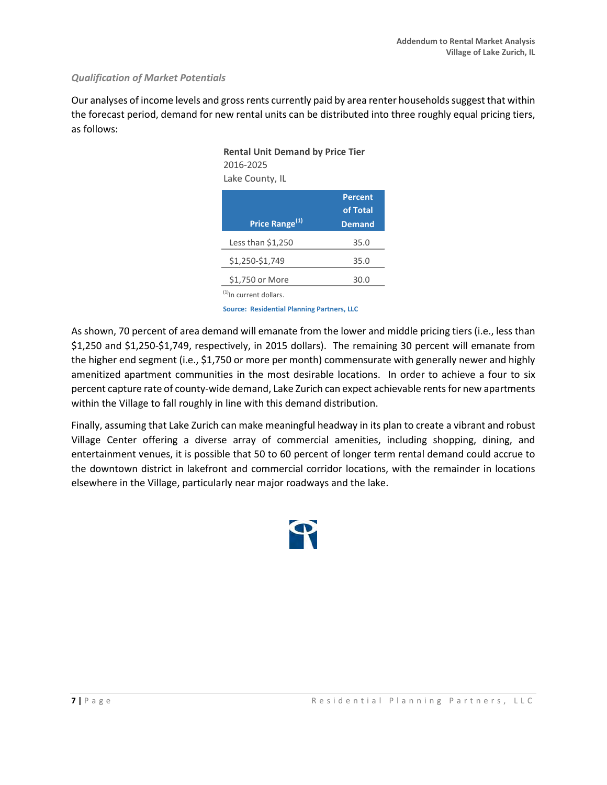#### *Qualification of Market Potentials*

Our analyses of income levels and gross rents currently paid by area renter households suggest that within the forecast period, demand for new rental units can be distributed into three roughly equal pricing tiers, as follows:

| <b>Rental Unit Demand by Price Tier</b><br>2016-2025<br>Lake County, IL |                                      |
|-------------------------------------------------------------------------|--------------------------------------|
| Price Range <sup>(1)</sup>                                              | <b>Percent</b><br>of Total<br>Demand |
| Less than \$1,250                                                       | 35.0                                 |
| \$1.250-\$1.749                                                         | 35.0                                 |
| \$1,750 or More                                                         | 30.0                                 |
| <sup>(1)</sup> In current dollars.                                      |                                      |

**Source: Residential Planning Partners, LLC**

As shown, 70 percent of area demand will emanate from the lower and middle pricing tiers (i.e., less than \$1,250 and \$1,250-\$1,749, respectively, in 2015 dollars). The remaining 30 percent will emanate from the higher end segment (i.e., \$1,750 or more per month) commensurate with generally newer and highly amenitized apartment communities in the most desirable locations. In order to achieve a four to six percent capture rate of county-wide demand, Lake Zurich can expect achievable rents for new apartments within the Village to fall roughly in line with this demand distribution.

Finally, assuming that Lake Zurich can make meaningful headway in its plan to create a vibrant and robust Village Center offering a diverse array of commercial amenities, including shopping, dining, and entertainment venues, it is possible that 50 to 60 percent of longer term rental demand could accrue to the downtown district in lakefront and commercial corridor locations, with the remainder in locations elsewhere in the Village, particularly near major roadways and the lake.